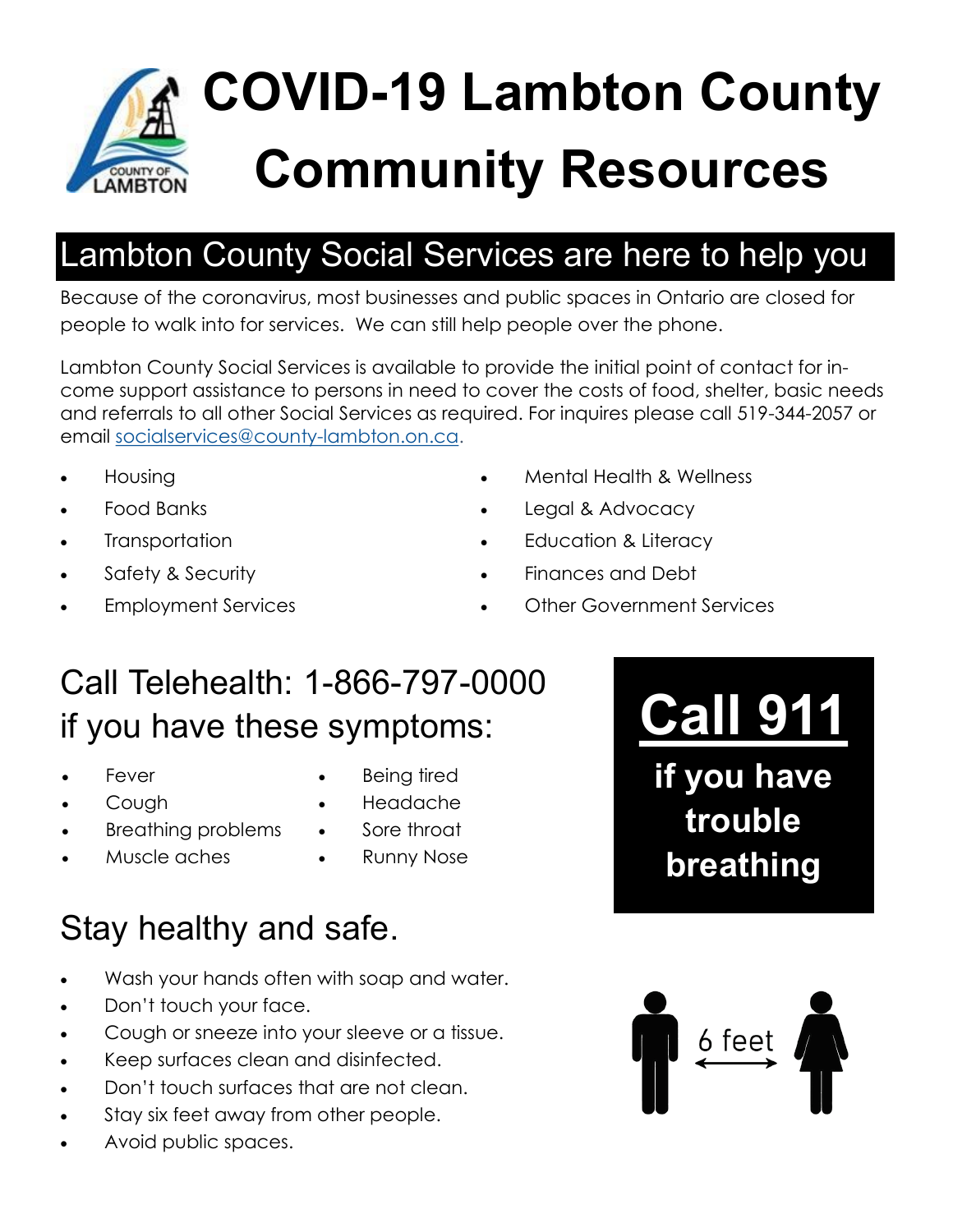

# **COVID-19 Lambton County Community Resources**

### Lambton County Social Services are here to help you

Because of the coronavirus, most businesses and public spaces in Ontario are closed for people to walk into for services. We can still help people over the phone.

Lambton County Social Services is available to provide the initial point of contact for income support assistance to persons in need to cover the costs of food, shelter, basic needs and referrals to all other Social Services as required. For inquires please call 519-344-2057 or email [socialservices@county-lambton.on.ca.](mailto:socialservices@county-lambton.on.ca)

- Housing
- Food Banks
- **Transportation**
- Safety & Security
- Employment Services
- Mental Health & Wellness
- Legal & Advocacy
- Education & Literacy
- Finances and Debt
- Other Government Services

### Call Telehealth: 1-866-797-0000 if you have these symptoms:

- Fever
- Cough
- Breathing problems
- Muscle aches
- Being tired
- Headache
- Sore throat
	- Runny Nose

## Stay healthy and safe.

- Wash your hands often with soap and water.
- Don't touch your face.
- Cough or sneeze into your sleeve or a tissue.
- Keep surfaces clean and disinfected.
- Don't touch surfaces that are not clean.
- Stay six feet away from other people.
- Avoid public spaces.

# **Call 911**

**if you have trouble breathing**